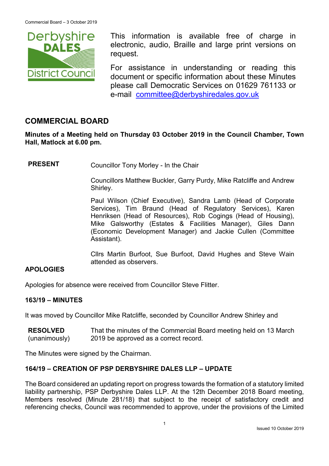

This information is available free of charge in electronic, audio, Braille and large print versions on request.

For assistance in understanding or reading this document or specific information about these Minutes please call Democratic Services on 01629 761133 or e-mail [committee@derbyshiredales.gov.uk](mailto:brian.evans@derbyshiredales.gov.uk)

# **COMMERCIAL BOARD**

**Minutes of a Meeting held on Thursday 03 October 2019 in the Council Chamber, Town Hall, Matlock at 6.00 pm.**

**PRESENT** Councillor Tony Morley - In the Chair

Councillors Matthew Buckler, Garry Purdy, Mike Ratcliffe and Andrew Shirley.

Paul Wilson (Chief Executive), Sandra Lamb (Head of Corporate Services), Tim Braund (Head of Regulatory Services), Karen Henriksen (Head of Resources), Rob Cogings (Head of Housing), Mike Galsworthy (Estates & Facilities Manager), Giles Dann (Economic Development Manager) and Jackie Cullen (Committee Assistant).

Cllrs Martin Burfoot, Sue Burfoot, David Hughes and Steve Wain attended as observers.

#### **APOLOGIES**

Apologies for absence were received from Councillor Steve Flitter.

#### **163/19 – MINUTES**

It was moved by Councillor Mike Ratcliffe, seconded by Councillor Andrew Shirley and

**RESOLVED** (unanimously) That the minutes of the Commercial Board meeting held on 13 March 2019 be approved as a correct record.

The Minutes were signed by the Chairman.

#### **164/19 – CREATION OF PSP DERBYSHIRE DALES LLP – UPDATE**

The Board considered an updating report on progress towards the formation of a statutory limited liability partnership, PSP Derbyshire Dales LLP. At the 12th December 2018 Board meeting, Members resolved (Minute 281/18) that subject to the receipt of satisfactory credit and referencing checks, Council was recommended to approve, under the provisions of the Limited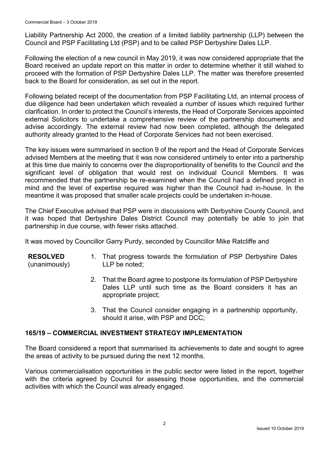Liability Partnership Act 2000, the creation of a limited liability partnership (LLP) between the Council and PSP Facilitating Ltd (PSP) and to be called PSP Derbyshire Dales LLP.

Following the election of a new council in May 2019, it was now considered appropriate that the Board received an update report on this matter in order to determine whether it still wished to proceed with the formation of PSP Derbyshire Dales LLP. The matter was therefore presented back to the Board for consideration, as set out in the report.

Following belated receipt of the documentation from PSP Facilitating Ltd, an internal process of due diligence had been undertaken which revealed a number of issues which required further clarification. In order to protect the Council's interests, the Head of Corporate Services appointed external Solicitors to undertake a comprehensive review of the partnership documents and advise accordingly. The external review had now been completed, although the delegated authority already granted to the Head of Corporate Services had not been exercised.

The key issues were summarised in section 9 of the report and the Head of Corporate Services advised Members at the meeting that it was now considered untimely to enter into a partnership at this time due mainly to concerns over the disproportionality of benefits to the Council and the significant level of obligation that would rest on individual Council Members. It was recommended that the partnership be re-examined when the Council had a defined project in mind and the level of expertise required was higher than the Council had in-house. In the meantime it was proposed that smaller scale projects could be undertaken in-house.

The Chief Executive advised that PSP were in discussions with Derbyshire County Council, and it was hoped that Derbyshire Dales District Council may potentially be able to join that partnership in due course, with fewer risks attached.

It was moved by Councillor Garry Purdy, seconded by Councillor Mike Ratcliffe and

#### **RESOLVED** (unanimously) 1. That progress towards the formulation of PSP Derbyshire Dales LLP be noted;

- 2. That the Board agree to postpone its formulation of PSP Derbyshire Dales LLP until such time as the Board considers it has an appropriate project;
- 3. That the Council consider engaging in a partnership opportunity, should it arise, with PSP and DCC;

#### **165/19 – COMMERCIAL INVESTMENT STRATEGY IMPLEMENTATION**

The Board considered a report that summarised its achievements to date and sought to agree the areas of activity to be pursued during the next 12 months.

Various commercialisation opportunities in the public sector were listed in the report, together with the criteria agreed by Council for assessing those opportunities, and the commercial activities with which the Council was already engaged.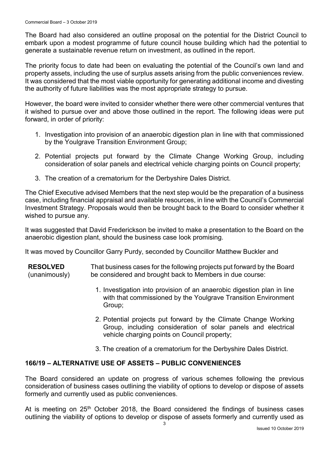The Board had also considered an outline proposal on the potential for the District Council to embark upon a modest programme of future council house building which had the potential to generate a sustainable revenue return on investment, as outlined in the report.

The priority focus to date had been on evaluating the potential of the Council's own land and property assets, including the use of surplus assets arising from the public conveniences review. It was considered that the most viable opportunity for generating additional income and divesting the authority of future liabilities was the most appropriate strategy to pursue.

However, the board were invited to consider whether there were other commercial ventures that it wished to pursue over and above those outlined in the report. The following ideas were put forward, in order of priority:

- 1. Investigation into provision of an anaerobic digestion plan in line with that commissioned by the Youlgrave Transition Environment Group;
- 2. Potential projects put forward by the Climate Change Working Group, including consideration of solar panels and electrical vehicle charging points on Council property;
- 3. The creation of a crematorium for the Derbyshire Dales District.

The Chief Executive advised Members that the next step would be the preparation of a business case, including financial appraisal and available resources, in line with the Council's Commercial Investment Strategy. Proposals would then be brought back to the Board to consider whether it wished to pursue any.

It was suggested that David Frederickson be invited to make a presentation to the Board on the anaerobic digestion plant, should the business case look promising.

It was moved by Councillor Garry Purdy, seconded by Councillor Matthew Buckler and

**RESOLVED** (unanimously) That business cases for the following projects put forward by the Board be considered and brought back to Members in due course:

- 1. Investigation into provision of an anaerobic digestion plan in line with that commissioned by the Youlgrave Transition Environment Group;
- 2. Potential projects put forward by the Climate Change Working Group, including consideration of solar panels and electrical vehicle charging points on Council property;
- 3. The creation of a crematorium for the Derbyshire Dales District.

# **166/19 – ALTERNATIVE USE OF ASSETS – PUBLIC CONVENIENCES**

The Board considered an update on progress of various schemes following the previous consideration of business cases outlining the viability of options to develop or dispose of assets formerly and currently used as public conveniences.

At is meeting on  $25<sup>th</sup>$  October 2018, the Board considered the findings of business cases outlining the viability of options to develop or dispose of assets formerly and currently used as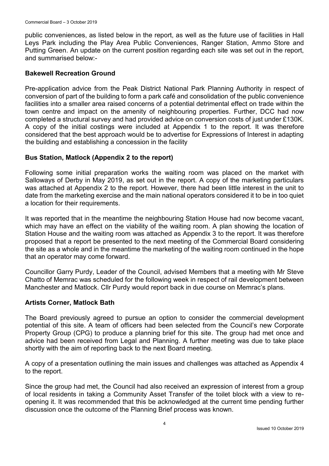public conveniences, as listed below in the report, as well as the future use of facilities in Hall Leys Park including the Play Area Public Conveniences, Ranger Station, Ammo Store and Putting Green. An update on the current position regarding each site was set out in the report, and summarised below:-

#### **Bakewell Recreation Ground**

Pre-application advice from the Peak District National Park Planning Authority in respect of conversion of part of the building to form a park café and consolidation of the public convenience facilities into a smaller area raised concerns of a potential detrimental effect on trade within the town centre and impact on the amenity of neighbouring properties. Further, DCC had now completed a structural survey and had provided advice on conversion costs of just under £130K. A copy of the initial costings were included at Appendix 1 to the report. It was therefore considered that the best approach would be to advertise for Expressions of Interest in adapting the building and establishing a concession in the facility

#### **Bus Station, Matlock (Appendix 2 to the report)**

Following some initial preparation works the waiting room was placed on the market with Salloways of Derby in May 2019, as set out in the report. A copy of the marketing particulars was attached at Appendix 2 to the report. However, there had been little interest in the unit to date from the marketing exercise and the main national operators considered it to be in too quiet a location for their requirements.

It was reported that in the meantime the neighbouring Station House had now become vacant, which may have an effect on the viability of the waiting room. A plan showing the location of Station House and the waiting room was attached as Appendix 3 to the report. It was therefore proposed that a report be presented to the next meeting of the Commercial Board considering the site as a whole and in the meantime the marketing of the waiting room continued in the hope that an operator may come forward.

Councillor Garry Purdy, Leader of the Council, advised Members that a meeting with Mr Steve Chatto of Memrac was scheduled for the following week in respect of rail development between Manchester and Matlock. Cllr Purdy would report back in due course on Memrac's plans.

#### **Artists Corner, Matlock Bath**

The Board previously agreed to pursue an option to consider the commercial development potential of this site. A team of officers had been selected from the Council's new Corporate Property Group (CPG) to produce a planning brief for this site. The group had met once and advice had been received from Legal and Planning. A further meeting was due to take place shortly with the aim of reporting back to the next Board meeting.

A copy of a presentation outlining the main issues and challenges was attached as Appendix 4 to the report.

Since the group had met, the Council had also received an expression of interest from a group of local residents in taking a Community Asset Transfer of the toilet block with a view to reopening it. It was recommended that this be acknowledged at the current time pending further discussion once the outcome of the Planning Brief process was known.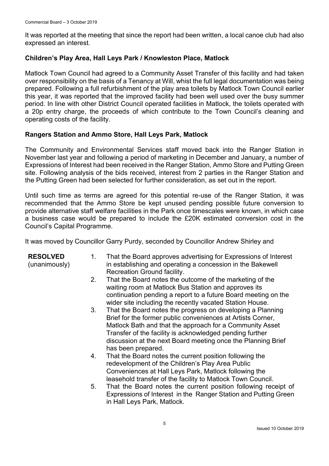It was reported at the meeting that since the report had been written, a local canoe club had also expressed an interest.

### **Children's Play Area, Hall Leys Park / Knowleston Place, Matlock**

Matlock Town Council had agreed to a Community Asset Transfer of this facility and had taken over responsibility on the basis of a Tenancy at Will, whist the full legal documentation was being prepared. Following a full refurbishment of the play area toilets by Matlock Town Council earlier this year, it was reported that the improved facility had been well used over the busy summer period. In line with other District Council operated facilities in Matlock, the toilets operated with a 20p entry charge, the proceeds of which contribute to the Town Council's cleaning and operating costs of the facility.

#### **Rangers Station and Ammo Store, Hall Leys Park, Matlock**

The Community and Environmental Services staff moved back into the Ranger Station in November last year and following a period of marketing in December and January, a number of Expressions of Interest had been received in the Ranger Station, Ammo Store and Putting Green site. Following analysis of the bids received, interest from 2 parties in the Ranger Station and the Putting Green had been selected for further consideration, as set out in the report.

Until such time as terms are agreed for this potential re-use of the Ranger Station, it was recommended that the Ammo Store be kept unused pending possible future conversion to provide alternative staff welfare facilities in the Park once timescales were known, in which case a business case would be prepared to include the £20K estimated conversion cost in the Council's Capital Programme.

It was moved by Councillor Garry Purdy, seconded by Councillor Andrew Shirley and

#### **RESOLVED**

(unanimously)

- 1. That the Board approves advertising for Expressions of Interest in establishing and operating a concession in the Bakewell Recreation Ground facility.
- 2. That the Board notes the outcome of the marketing of the waiting room at Matlock Bus Station and approves its continuation pending a report to a future Board meeting on the wider site including the recently vacated Station House.
- 3. That the Board notes the progress on developing a Planning Brief for the former public conveniences at Artists Corner, Matlock Bath and that the approach for a Community Asset Transfer of the facility is acknowledged pending further discussion at the next Board meeting once the Planning Brief has been prepared.
- 4. That the Board notes the current position following the redevelopment of the Children's Play Area Public Conveniences at Hall Leys Park, Matlock following the leasehold transfer of the facility to Matlock Town Council.
- 5. That the Board notes the current position following receipt of Expressions of Interest in the Ranger Station and Putting Green in Hall Leys Park, Matlock.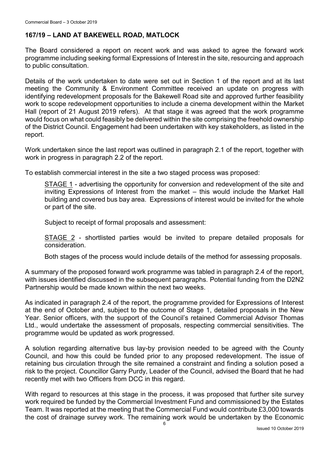### **167/19 – LAND AT BAKEWELL ROAD, MATLOCK**

The Board considered a report on recent work and was asked to agree the forward work programme including seeking formal Expressions of Interest in the site, resourcing and approach to public consultation.

Details of the work undertaken to date were set out in Section 1 of the report and at its last meeting the Community & Environment Committee received an update on progress with identifying redevelopment proposals for the Bakewell Road site and approved further feasibility work to scope redevelopment opportunities to include a cinema development within the Market Hall (report of 21 August 2019 refers). At that stage it was agreed that the work programme would focus on what could feasibly be delivered within the site comprising the freehold ownership of the District Council. Engagement had been undertaken with key stakeholders, as listed in the report.

Work undertaken since the last report was outlined in paragraph 2.1 of the report, together with work in progress in paragraph 2.2 of the report.

To establish commercial interest in the site a two staged process was proposed:

STAGE 1 - advertising the opportunity for conversion and redevelopment of the site and inviting Expressions of Interest from the market – this would include the Market Hall building and covered bus bay area. Expressions of interest would be invited for the whole or part of the site.

Subject to receipt of formal proposals and assessment:

STAGE 2 - shortlisted parties would be invited to prepare detailed proposals for consideration.

Both stages of the process would include details of the method for assessing proposals.

A summary of the proposed forward work programme was tabled in paragraph 2.4 of the report, with issues identified discussed in the subsequent paragraphs. Potential funding from the D2N2 Partnership would be made known within the next two weeks.

As indicated in paragraph 2.4 of the report, the programme provided for Expressions of Interest at the end of October and, subject to the outcome of Stage 1, detailed proposals in the New Year. Senior officers, with the support of the Council's retained Commercial Advisor Thomas Ltd., would undertake the assessment of proposals, respecting commercial sensitivities. The programme would be updated as work progressed.

A solution regarding alternative bus lay-by provision needed to be agreed with the County Council, and how this could be funded prior to any proposed redevelopment. The issue of retaining bus circulation through the site remained a constraint and finding a solution posed a risk to the project. Councillor Garry Purdy, Leader of the Council, advised the Board that he had recently met with two Officers from DCC in this regard.

With regard to resources at this stage in the process, it was proposed that further site survey work required be funded by the Commercial Investment Fund and commissioned by the Estates Team. It was reported at the meeting that the Commercial Fund would contribute £3,000 towards the cost of drainage survey work. The remaining work would be undertaken by the Economic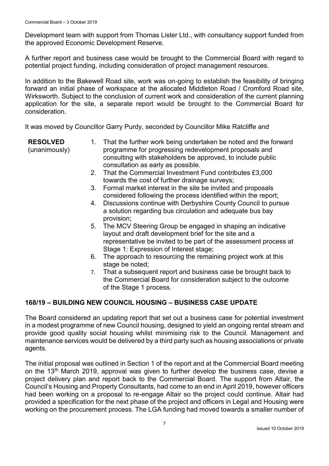Development team with support from Thomas Lister Ltd., with consultancy support funded from the approved Economic Development Reserve.

A further report and business case would be brought to the Commercial Board with regard to potential project funding, including consideration of project management resources.

In addition to the Bakewell Road site, work was on-going to establish the feasibility of bringing forward an initial phase of workspace at the allocated Middleton Road / Cromford Road site, Wirksworth. Subject to the conclusion of current work and consideration of the current planning application for the site, a separate report would be brought to the Commercial Board for consideration.

It was moved by Councillor Garry Purdy, seconded by Councillor Mike Ratcliffe and

**RESOLVED**

(unanimously)

- 1. That the further work being undertaken be noted and the forward programme for progressing redevelopment proposals and consulting with stakeholders be approved, to include public consultation as early as possible.
- 2. That the Commercial Investment Fund contributes £3,000 towards the cost of further drainage surveys;
- 3. Formal market interest in the site be invited and proposals considered following the process identified within the report;
- 4. Discussions continue with Derbyshire County Council to pursue a solution regarding bus circulation and adequate bus bay provision;
- 5. The MCV Steering Group be engaged in shaping an indicative layout and draft development brief for the site and a representative be invited to be part of the assessment process at Stage 1: Expression of Interest stage;
- 6. The approach to resourcing the remaining project work at this stage be noted;
- 7. That a subsequent report and business case be brought back to the Commercial Board for consideration subject to the outcome of the Stage 1 process.

# **168/19 – BUILDING NEW COUNCIL HOUSING – BUSINESS CASE UPDATE**

The Board considered an updating report that set out a business case for potential investment in a modest programme of new Council housing, designed to yield an ongoing rental stream and provide good quality social housing whilst minimising risk to the Council. Management and maintenance services would be delivered by a third party such as housing associations or private agents.

The initial proposal was outlined in Section 1 of the report and at the Commercial Board meeting on the 13<sup>th</sup> March 2019, approval was given to further develop the business case, devise a project delivery plan and report back to the Commercial Board. The support from Altair, the Council's Housing and Property Consultants, had come to an end in April 2019, however officers had been working on a proposal to re-engage Altair so the project could continue. Altair had provided a specification for the next phase of the project and officers in Legal and Housing were working on the procurement process. The LGA funding had moved towards a smaller number of